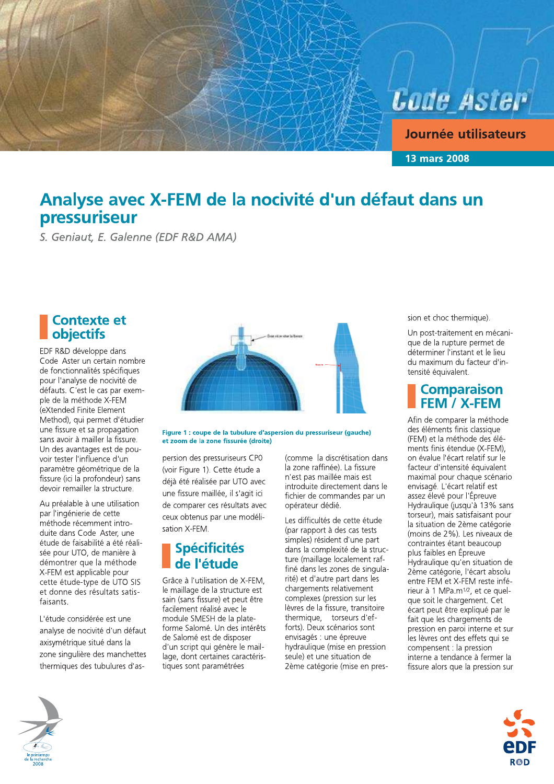

Journée utilisateurs

**13 mars 2008** 

## Analyse avec X-FEM de la nocivité d'un défaut dans un pressuriseur

S. Geniaut, E. Galenne (EDF R&D AMA)

### **Contexte et** objectifs

EDF R&D développe dans Code Aster un certain nombre de fonctionnalités spécifiques pour l'analyse de nocivité de défauts. C'est le cas par exemple de la méthode X-FEM (eXtended Finite Element Method), qui permet d'étudier une fissure et sa propagation sans avoir à mailler la fissure. Un des avantages est de pouvoir tester l'influence d'un paramètre géométrique de la fissure (ici la profondeur) sans devoir remailler la structure.

Au préalable à une utilisation par l'ingénierie de cette méthode récemment introduite dans Code Aster, une étude de faisabilité a été réalisée pour UTO, de manière à démontrer que la méthode X-FEM est applicable pour cette étude-type de UTO SIS et donne des résultats satisfaisants.

L'étude considérée est une analyse de nocivité d'un défaut axisymétrique situé dans la zone singulière des manchettes thermiques des tubulures d'as-



Figure 1 : coupe de la tubulure d'aspersion du pressuriseur (gauche) et zoom de la zone fissurée (droite)

persion des pressuriseurs CP0 (voir Figure 1). Cette étude a déjà été réalisée par UTO avec une fissure maillée, il s'agit ici de comparer ces résultats avec ceux obtenus par une modélisation X-FEM.

## **Spécificités** de l'étude

Grâce à l'utilisation de X-FEM. le maillage de la structure est sain (sans fissure) et peut être facilement réalisé avec le module SMESH de la plateforme Salomé. Un des intérêts de Salomé est de disposer d'un script qui génère le maillage, dont certaines caractéristiques sont paramétrées

(comme la discrétisation dans la zone raffinée). La fissure n'est pas maillée mais est introduite directement dans le fichier de commandes par un opérateur dédié.

Les difficultés de cette étude (par rapport à des cas tests simples) résident d'une part dans la complexité de la structure (maillage localement raffiné dans les zones de singularité) et d'autre part dans les chargements relativement complexes (pression sur les lèvres de la fissure, transitoire thermique, torseurs d'efforts). Deux scénarios sont envisagés : une épreuve hydraulique (mise en pression seule) et une situation de 2ème catégorie (mise en pression et choc thermique).

Un post-traitement en mécanique de la rupture permet de déterminer l'instant et le lieu du maximum du facteur d'intensité équivalent.

#### **Comparaison** FEM / X-FEM

Afin de comparer la méthode des éléments finis classique (FEM) et la méthode des éléments finis étendue (X-FEM), on évalue l'écart relatif sur le facteur d'intensité équivalent maximal pour chaque scénario envisagé. L'écart relatif est assez élevé pour l'Épreuve Hydraulique (jusqu'à 13% sans torseur), mais satisfaisant pour la situation de 2ème catégorie (moins de 2%). Les niveaux de contraintes étant beaucoup plus faibles en Épreuve Hydraulique qu'en situation de 2ème catégorie, l'écart absolu entre FEM et X-FEM reste inférieur à 1 MPa.m<sup>1/2</sup>, et ce quelque soit le chargement. Cet écart peut être expliqué par le fait que les chargements de pression en paroi interne et sur les lèvres ont des effets qui se compensent : la pression interne a tendance à fermer la fissure alors que la pression sur